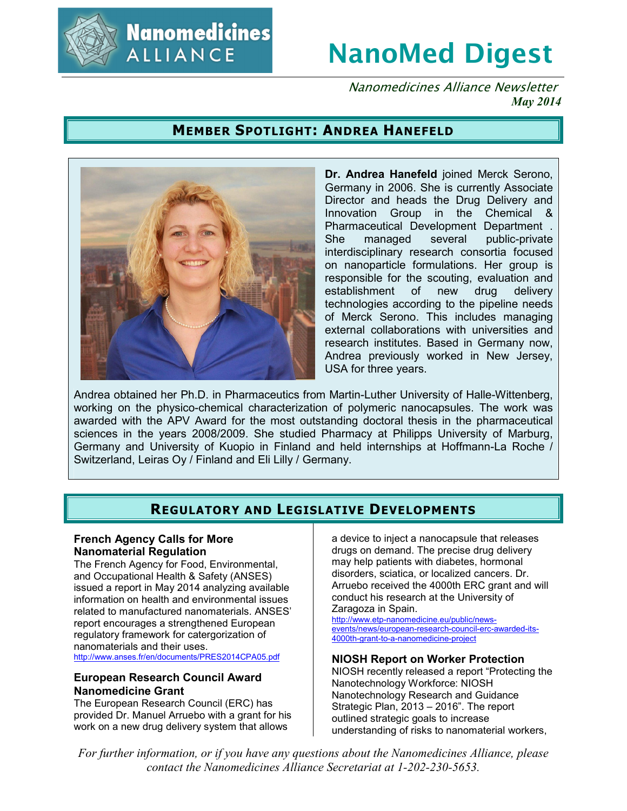

**Nanomedicines ALLIANCE** 

# **NanoMed Digest**

Nanomedicines Alliance Newsletter *May 2014*

# **MEMBER SPOTLIGHT: ANDREA HANEFELD**



**Dr. Andrea Hanefeld** joined Merck Serono, Germany in 2006. She is currently Associate Director and heads the Drug Delivery and Innovation Group in the Chemical & Pharmaceutical Development Department . She managed several public-private interdisciplinary research consortia focused on nanoparticle formulations. Her group is responsible for the scouting, evaluation and establishment of new drug delivery technologies according to the pipeline needs of Merck Serono. This includes managing external collaborations with universities and research institutes. Based in Germany now, Andrea previously worked in New Jersey, USA for three years.

Andrea obtained her Ph.D. in Pharmaceutics from Martin-Luther University of Halle-Wittenberg, working on the physico-chemical characterization of polymeric nanocapsules. The work was awarded with the APV Award for the most outstanding doctoral thesis in the pharmaceutical sciences in the years 2008/2009. She studied Pharmacy at Philipps University of Marburg, Germany and University of Kuopio in Finland and held internships at Hoffmann-La Roche / Switzerland, Leiras Oy / Finland and Eli Lilly / Germany.

# **REGULATORY AND LEGISLATIVE DEVELOPMENTS**

## **French Agency Calls for More Nanomaterial Regulation**

The French Agency for Food, Environmental, and Occupational Health & Safety (ANSES) issued a report in May 2014 analyzing available information on health and environmental issues related to manufactured nanomaterials. ANSES' report encourages a strengthened European regulatory framework for catergorization of nanomaterials and their uses. http://www.anses.fr/en/documents/PRES2014CPA05.pdf

#### **European Research Council Award Nanomedicine Grant**

The European Research Council (ERC) has provided Dr. Manuel Arruebo with a grant for his work on a new drug delivery system that allows

a device to inject a nanocapsule that releases drugs on demand. The precise drug delivery may help patients with diabetes, hormonal disorders, sciatica, or localized cancers. Dr. Arruebo received the 4000th ERC grant and will conduct his research at the University of Zaragoza in Spain.

http://www.etp-nanomedicine.eu/public/newsevents/news/european-research-council-erc-awarded-its-4000th-grant-to-a-nanomedicine-project

#### **NIOSH Report on Worker Protection**

NIOSH recently released a report "Protecting the Nanotechnology Workforce: NIOSH Nanotechnology Research and Guidance Strategic Plan, 2013 – 2016". The report outlined strategic goals to increase understanding of risks to nanomaterial workers,

*For further information, or if you have any questions about the Nanomedicines Alliance, please contact the Nanomedicines Alliance Secretariat at 1-202-230-5653.*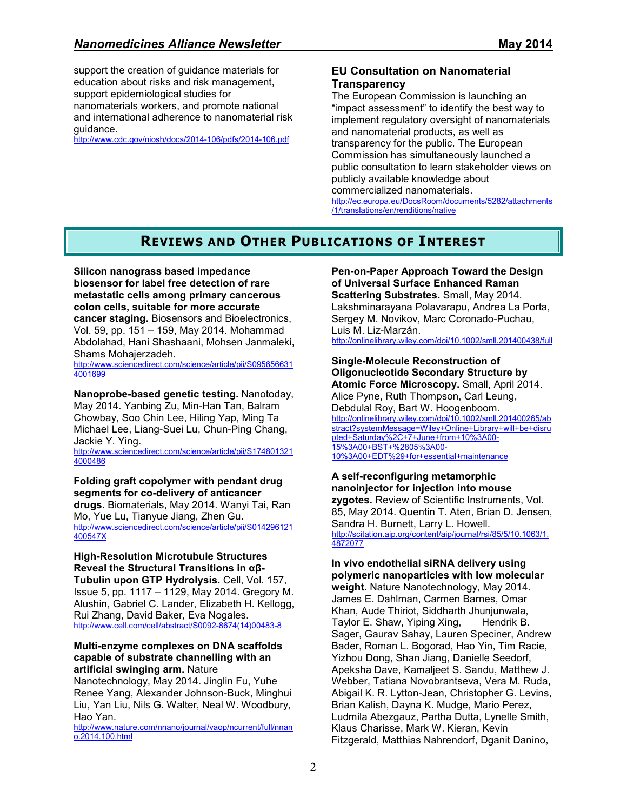support the creation of guidance materials for education about risks and risk management, support epidemiological studies for nanomaterials workers, and promote national and international adherence to nanomaterial risk guidance.

http://www.cdc.gov/niosh/docs/2014-106/pdfs/2014-106.pdf

## **EU Consultation on Nanomaterial Transparency**

The European Commission is launching an "impact assessment" to identify the best way to implement regulatory oversight of nanomaterials and nanomaterial products, as well as transparency for the public. The European Commission has simultaneously launched a public consultation to learn stakeholder views on publicly available knowledge about commercialized nanomaterials. http://ec.europa.eu/DocsRoom/documents/5282/attachments

/1/translations/en/renditions/native

# **REVIEWS AND OTHER PUBLICATIONS OF INTEREST**

**Silicon nanograss based impedance biosensor for label free detection of rare metastatic cells among primary cancerous colon cells, suitable for more accurate cancer staging.** Biosensors and Bioelectronics, Vol. 59, pp. 151 – 159, May 2014. Mohammad Abdolahad, Hani Shashaani, Mohsen Janmaleki, Shams Mohajerzadeh.

http://www.sciencedirect.com/science/article/pii/S095656631 4001699

**Nanoprobe-based genetic testing.** Nanotoday, May 2014. Yanbing Zu, Min-Han Tan, Balram Chowbay, Soo Chin Lee, Hiling Yap, Ming Ta Michael Lee, Liang-Suei Lu, Chun-Ping Chang, Jackie Y. Ying.

http://www.sciencedirect.com/science/article/pii/S174801321 4000486

#### **Folding graft copolymer with pendant drug segments for co-delivery of anticancer**

**drugs.** Biomaterials, May 2014. Wanyi Tai, Ran Mo, Yue Lu, Tianyue Jiang, Zhen Gu. http://www.sciencedirect.com/science/article/pii/S014296121 400547X

#### **High-Resolution Microtubule Structures Reveal the Structural Transitions in αβ-**

**Tubulin upon GTP Hydrolysis.** Cell, Vol. 157, Issue 5, pp. 1117 – 1129, May 2014. Gregory M. Alushin, Gabriel C. Lander, Elizabeth H. Kellogg, Rui Zhang, David Baker, Eva Nogales. http://www.cell.com/cell/abstract/S0092-8674(14)00483-8

#### **Multi-enzyme complexes on DNA scaffolds capable of substrate channelling with an artificial swinging arm.** Nature

Nanotechnology, May 2014. Jinglin Fu, Yuhe Renee Yang, Alexander Johnson-Buck, Minghui Liu, Yan Liu, Nils G. Walter, Neal W. Woodbury, Hao Yan.

http://www.nature.com/nnano/journal/vaop/ncurrent/full/nnan o.2014.100.html

**Pen-on-Paper Approach Toward the Design of Universal Surface Enhanced Raman Scattering Substrates.** Small, May 2014. Lakshminarayana Polavarapu, Andrea La Porta, Sergey M. Novikov, Marc Coronado-Puchau, Luis M. Liz-Marzán. http://onlinelibrary.wiley.com/doi/10.1002/smll.201400438/full

**Single-Molecule Reconstruction of Oligonucleotide Secondary Structure by Atomic Force Microscopy.** Small, April 2014. Alice Pyne, Ruth Thompson, Carl Leung, Debdulal Roy, Bart W. Hoogenboom. http://onlinelibrary.wiley.com/doi/10.1002/smll.201400265/ab stract?systemMessage=Wiley+Online+Library+will+be+disru pted+Saturday%2C+7+June+from+10%3A00- 15%3A00+BST+%2805%3A00- 10%3A00+EDT%29+for+essential+maintenance

**A self-reconfiguring metamorphic nanoinjector for injection into mouse zygotes.** Review of Scientific Instruments, Vol. 85, May 2014. Quentin T. Aten, Brian D. Jensen, Sandra H. Burnett, Larry L. Howell. http://scitation.aip.org/content/aip/journal/rsi/85/5/10.1063/1. 4872077

**In vivo endothelial siRNA delivery using polymeric nanoparticles with low molecular weight.** Nature Nanotechnology, May 2014. James E. Dahlman, Carmen Barnes, Omar Khan, Aude Thiriot, Siddharth Jhunjunwala, Taylor E. Shaw, Yiping Xing, Hendrik B. Sager, Gaurav Sahay, Lauren Speciner, Andrew Bader, Roman L. Bogorad, Hao Yin, Tim Racie, Yizhou Dong, Shan Jiang, Danielle Seedorf, Apeksha Dave, Kamaljeet S. Sandu, Matthew J. Webber, Tatiana Novobrantseva, Vera M. Ruda, Abigail K. R. Lytton-Jean, Christopher G. Levins, Brian Kalish, Dayna K. Mudge, Mario Perez, Ludmila Abezgauz, Partha Dutta, Lynelle Smith, Klaus Charisse, Mark W. Kieran, Kevin Fitzgerald, Matthias Nahrendorf, Dganit Danino,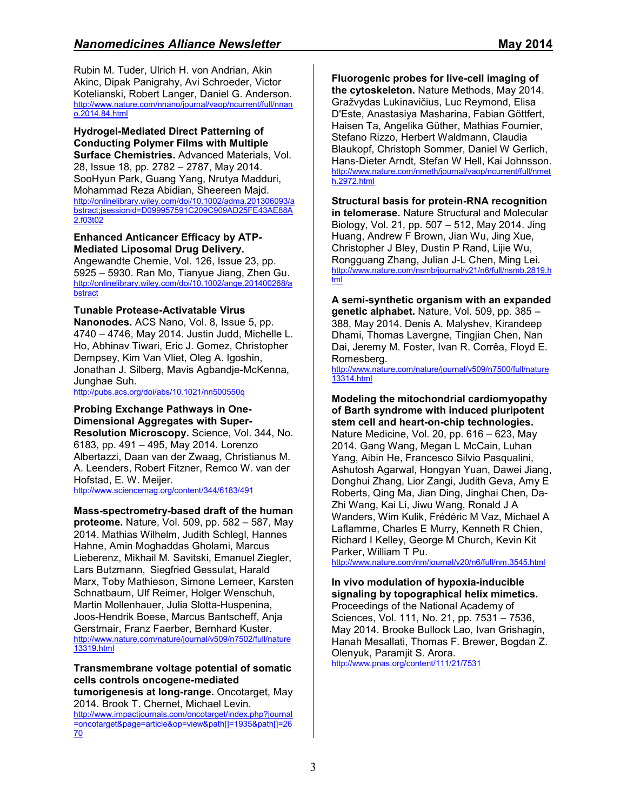Rubin M. Tuder, Ulrich H. von Andrian, Akin Akinc, Dipak Panigrahy, Avi Schroeder, Victor Kotelianski, Robert Langer, Daniel G. Anderson. http://www.nature.com/nnano/journal/vaop/ncurrent/full/nnan o.2014.84.html

**Hydrogel-Mediated Direct Patterning of Conducting Polymer Films with Multiple Surface Chemistries.** Advanced Materials, Vol. 28, Issue 18, pp. 2782 – 2787, May 2014. SooHyun Park, Guang Yang, Nrutya Madduri, Mohammad Reza Abidian, Sheereen Majd. http://onlinelibrary.wiley.com/doi/10.1002/adma.201306093/a bstract;jsessionid=D099957591C209C909AD25FE43AE88A 2.f03t02

## **Enhanced Anticancer Efficacy by ATP-Mediated Liposomal Drug Delivery.**

Angewandte Chemie, Vol. 126, Issue 23, pp. 5925 – 5930. Ran Mo, Tianyue Jiang, Zhen Gu. http://onlinelibrary.wiley.com/doi/10.1002/ange.201400268/a bstract

# **Tunable Protease-Activatable Virus**

**Nanonodes.** ACS Nano, Vol. 8, Issue 5, pp. 4740 – 4746, May 2014. Justin Judd, Michelle L. Ho, Abhinav Tiwari, Eric J. Gomez, Christopher Dempsey, Kim Van Vliet, Oleg A. Igoshin, Jonathan J. Silberg, Mavis Agbandje-McKenna, Junghae Suh.

http://pubs.acs.org/doi/abs/10.1021/nn500550q

#### **Probing Exchange Pathways in One-Dimensional Aggregates with Super-Resolution Microscopy.** Science, Vol. 344, No. 6183, pp. 491 – 495, May 2014. Lorenzo Albertazzi, Daan van der Zwaag, Christianus M. A. Leenders, Robert Fitzner, Remco W. van der Hofstad, E. W. Meijer.

http://www.sciencemag.org/content/344/6183/491

#### **Mass-spectrometry-based draft of the human proteome.** Nature, Vol. 509, pp. 582 – 587, May 2014. Mathias Wilhelm, Judith Schlegl, Hannes Hahne, Amin Moghaddas Gholami, Marcus Lieberenz, Mikhail M. Savitski, Emanuel Ziegler, Lars Butzmann, Siegfried Gessulat, Harald Marx, Toby Mathieson, Simone Lemeer, Karsten Schnatbaum, Ulf Reimer, Holger Wenschuh, Martin Mollenhauer, Julia Slotta-Huspenina, Joos-Hendrik Boese, Marcus Bantscheff, Anja Gerstmair, Franz Faerber, Bernhard Kuster. http://www.nature.com/nature/journal/v509/n7502/full/nature 13319.html

#### **Transmembrane voltage potential of somatic cells controls oncogene-mediated**

**tumorigenesis at long-range.** Oncotarget, May 2014. Brook T. Chernet, Michael Levin.

http://www.impactjournals.com/oncotarget/index.php?journal =oncotarget&page=article&op=view&path[]=1935&path[]=26 70

**Fluorogenic probes for live-cell imaging of the cytoskeleton.** Nature Methods, May 2014. Gražvydas Lukinavičius, Luc Reymond, Elisa D'Este, Anastasiya Masharina, Fabian Göttfert, Haisen Ta, Angelika Güther, Mathias Fournier, Stefano Rizzo, Herbert Waldmann, Claudia Blaukopf, Christoph Sommer, Daniel W Gerlich, Hans-Dieter Arndt, Stefan W Hell, Kai Johnsson. http://www.nature.com/nmeth/journal/vaop/ncurrent/full/nmet h.2972.html

**Structural basis for protein-RNA recognition in telomerase.** Nature Structural and Molecular Biology, Vol. 21, pp. 507 – 512, May 2014. Jing Huang, Andrew F Brown, Jian Wu, Jing Xue, Christopher J Bley, Dustin P Rand, Lijie Wu, Rongguang Zhang, Julian J-L Chen, Ming Lei. http://www.nature.com/nsmb/journal/v21/n6/full/nsmb.2819.h tml

**A semi-synthetic organism with an expanded genetic alphabet.** Nature, Vol. 509, pp. 385 – 388, May 2014. Denis A. Malyshev, Kirandeep Dhami, Thomas Lavergne, Tingjian Chen, Nan Dai, Jeremy M. Foster, Ivan R. Corrêa, Floyd E. Romesberg.

http://www.nature.com/nature/journal/v509/n7500/full/nature 13314.html

**Modeling the mitochondrial cardiomyopathy of Barth syndrome with induced pluripotent stem cell and heart-on-chip technologies.** Nature Medicine, Vol. 20, pp. 616 – 623, May 2014. Gang Wang, Megan L McCain, Luhan Yang, Aibin He, Francesco Silvio Pasqualini, Ashutosh Agarwal, Hongyan Yuan, Dawei Jiang, Donghui Zhang, Lior Zangi, Judith Geva, Amy E Roberts, Qing Ma, Jian Ding, Jinghai Chen, Da-Zhi Wang, Kai Li, Jiwu Wang, Ronald J A Wanders, Wim Kulik, Frédéric M Vaz, Michael A Laflamme, Charles E Murry, Kenneth R Chien, Richard I Kelley, George M Church, Kevin Kit Parker, William T Pu.

http://www.nature.com/nm/journal/v20/n6/full/nm.3545.html

## **In vivo modulation of hypoxia-inducible signaling by topographical helix mimetics.**

Proceedings of the National Academy of Sciences, Vol. 111, No. 21, pp. 7531 – 7536, May 2014. Brooke Bullock Lao, Ivan Grishagin, Hanah Mesallati, Thomas F. Brewer, Bogdan Z. Olenyuk, Paramjit S. Arora. http://www.pnas.org/content/111/21/7531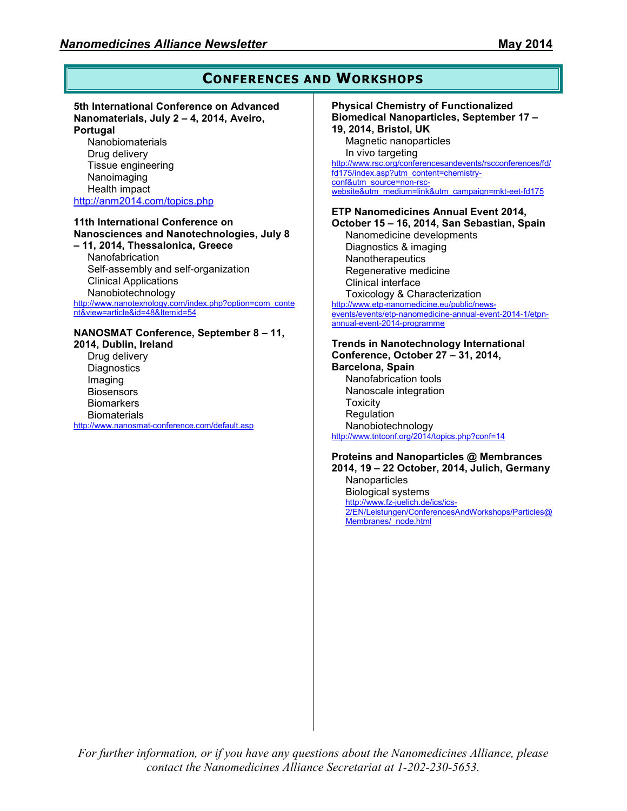# **CONFERENCES AND WORKSHOPS**

#### **5th International Conference on Advanced Nanomaterials, July 2 – 4, 2014, Aveiro, Portugal**

**Nanobiomaterials** Drug delivery Tissue engineering Nanoimaging Health impact http://anm2014.com/topics.php

#### **11th International Conference on Nanosciences and Nanotechnologies, July 8**

**– 11, 2014, Thessalonica, Greece** Nanofabrication Self-assembly and self-organization Clinical Applications Nanobiotechnology http://www.nanotexnology.com/index.php?option=com\_conte

nt&view=article&id=48&Itemid=54

# **NANOSMAT Conference, September 8 – 11,**

**2014, Dublin, Ireland**  Drug delivery **Diagnostics** Imaging **Biosensors Biomarkers Biomaterials** http://www.nanosmat-conference.com/default.asp

#### **Physical Chemistry of Functionalized Biomedical Nanoparticles, September 17 – 19, 2014, Bristol, UK**  Magnetic nanoparticles In vivo targeting http://www.rsc.org/conferencesandevents/rscconferences/fd/ fd175/index.asp?utm\_content=chemistryconf&utm\_source=non-rscwebsite&utm\_medium=link&utm\_campaign=mkt-eet-fd175 **ETP Nanomedicines Annual Event 2014, October 15 – 16, 2014, San Sebastian, Spain**

Nanomedicine developments Diagnostics & imaging Nanotherapeutics Regenerative medicine Clinical interface Toxicology & Characterization http://www.etp-nanomedicine.eu/public/newsevents/events/etp-nanomedicine-annual-event-2014-1/etpnannual-event-2014-programme

## **Trends in Nanotechnology International Conference, October 27 – 31, 2014,**

**Barcelona, Spain**  Nanofabrication tools Nanoscale integration **Toxicity** Regulation Nanobiotechnology http://www.tntconf.org/2014/topics.php?conf=14

#### **Proteins and Nanoparticles @ Membrances 2014, 19 – 22 October, 2014, Julich, Germany Nanoparticles**

Biological systems http://www.fz-juelich.de/ics/ics-2/EN/Leistungen/ConferencesAndWorkshops/Particles@ Membranes/\_node.html